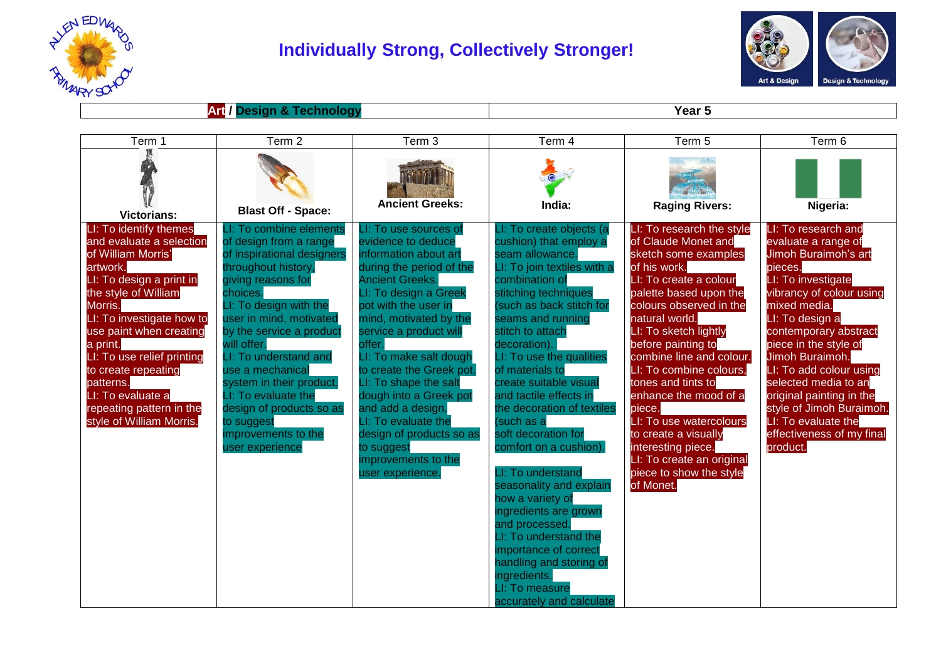

## **Individually Strong, Collectively Stronger!**



## **Art / Design & Technology Year 5**

| Term 1                                                                                                                                                                                                                                                                                                                                                                 | Term 2                                                                                                                                                                                                                                                                                                                                                                                                                       | Term 3                                                                                                                                                                                                                                                                                                                                                                                                                                                                              | Term 4                                                                                                                                                                                                                                                                                                                                                                                                                                                                                                                                                                                                                                                                                       | Term 5                                                                                                                                                                                                                                                                                                                                                                                                                                                                                                 | Term 6                                                                                                                                                                                                                                                                                                                                                                                                             |
|------------------------------------------------------------------------------------------------------------------------------------------------------------------------------------------------------------------------------------------------------------------------------------------------------------------------------------------------------------------------|------------------------------------------------------------------------------------------------------------------------------------------------------------------------------------------------------------------------------------------------------------------------------------------------------------------------------------------------------------------------------------------------------------------------------|-------------------------------------------------------------------------------------------------------------------------------------------------------------------------------------------------------------------------------------------------------------------------------------------------------------------------------------------------------------------------------------------------------------------------------------------------------------------------------------|----------------------------------------------------------------------------------------------------------------------------------------------------------------------------------------------------------------------------------------------------------------------------------------------------------------------------------------------------------------------------------------------------------------------------------------------------------------------------------------------------------------------------------------------------------------------------------------------------------------------------------------------------------------------------------------------|--------------------------------------------------------------------------------------------------------------------------------------------------------------------------------------------------------------------------------------------------------------------------------------------------------------------------------------------------------------------------------------------------------------------------------------------------------------------------------------------------------|--------------------------------------------------------------------------------------------------------------------------------------------------------------------------------------------------------------------------------------------------------------------------------------------------------------------------------------------------------------------------------------------------------------------|
| <b>Victorians:</b>                                                                                                                                                                                                                                                                                                                                                     | <b>Blast Off - Space:</b>                                                                                                                                                                                                                                                                                                                                                                                                    | <b>Ancient Greeks:</b>                                                                                                                                                                                                                                                                                                                                                                                                                                                              | India:                                                                                                                                                                                                                                                                                                                                                                                                                                                                                                                                                                                                                                                                                       | <b>Raging Rivers:</b>                                                                                                                                                                                                                                                                                                                                                                                                                                                                                  | Nigeria:                                                                                                                                                                                                                                                                                                                                                                                                           |
| LI: To identify themes<br>and evaluate a selection<br>of William Morris'<br>artwork.<br>LI: To design a print in<br>the style of William<br>Morris.<br>LI: To investigate how to<br>use paint when creating<br>a print.<br>LI: To use relief printing<br>to create repeating<br>patterns.<br>LI: To evaluate a<br>repeating pattern in the<br>style of William Morris. | LI: To combine elements<br>of design from a range<br>of inspirational designers<br>throughout history,<br>giving reasons for<br>choices.<br>LI: To design with the<br>user in mind, motivated<br>by the service a product<br>will offer.<br>LI: To understand and<br>use a mechanical<br>system in their product.<br>LI: To evaluate the<br>design of products so as<br>to suggest<br>improvements to the<br>user experience | LI: To use sources of<br>evidence to deduce<br>information about art<br>during the period of the<br><b>Ancient Greeks.</b><br>LI: To design a Greek<br>pot with the user in<br>mind, motivated by the<br>service a product will<br>offer.<br>LI: To make salt dough<br>to create the Greek pot.<br>LI: To shape the salt<br>dough into a Greek pot<br>and add a design.<br>LI: To evaluate the<br>design of products so as<br>to suggest<br>improvements to the<br>user experience. | LI: To create objects (a<br>cushion) that employ a<br>seam allowance.<br>LI: To join textiles with a<br>combination of<br>stitching techniques<br>such as back stitch for<br>seams and running<br>stitch to attach<br>decoration).<br>LI: To use the qualities<br>of materials to<br>create suitable visual<br>and tactile effects in<br>the decoration of textiles<br>(such as a<br>soft decoration for<br>comfort on a cushion).<br>LI: To understand<br>seasonality and explain<br>how a variety of<br>ingredients are grown<br>and processed.<br>LI: To understand the<br>importance of correct<br>handling and storing of<br>ingredients.<br>LI: To measure<br>accurately and calculate | LI: To research the style<br>of Claude Monet and<br>sketch some examples<br>of his work.<br>LI: To create a colour<br>palette based upon the<br>colours observed in the<br>natural world.<br>LI: To sketch lightly<br>before painting to<br>combine line and colour.<br>LI: To combine colours,<br>tones and tints to<br>enhance the mood of a<br>piece.<br>LI: To use watercolours<br>to create a visually<br>interesting piece.<br>LI: To create an original<br>piece to show the style<br>of Monet. | LI: To research and<br>evaluate a range of<br>Jimoh Buraimoh's art<br>pieces.<br>LI: To investigate<br>vibrancy of colour using<br>mixed media.<br>LI: To design a<br>contemporary abstract<br>piece in the style of<br>Jimoh Buraimoh.<br>LI: To add colour using<br>selected media to an<br>original painting in the<br>style of Jimoh Buraimoh.<br>LI: To evaluate the<br>effectiveness of my final<br>product. |